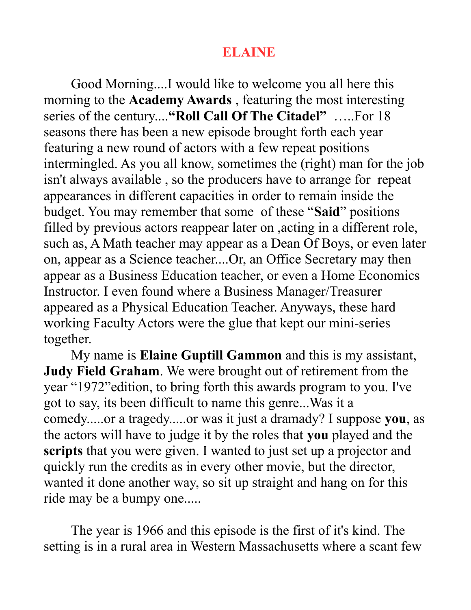### **ELAINE**

Good Morning....I would like to welcome you all here this morning to the **Academy Awards** , featuring the most interesting series of the century....**"Roll Call Of The Citadel"** …..For 18 seasons there has been a new episode brought forth each year featuring a new round of actors with a few repeat positions intermingled. As you all know, sometimes the (right) man for the job isn't always available , so the producers have to arrange for repeat appearances in different capacities in order to remain inside the budget. You may remember that some of these "**Said**" positions filled by previous actors reappear later on ,acting in a different role, such as, A Math teacher may appear as a Dean Of Boys, or even later on, appear as a Science teacher....Or, an Office Secretary may then appear as a Business Education teacher, or even a Home Economics Instructor. I even found where a Business Manager/Treasurer appeared as a Physical Education Teacher. Anyways, these hard working Faculty Actors were the glue that kept our mini-series together.

My name is **Elaine Guptill Gammon** and this is my assistant, **Judy Field Graham**. We were brought out of retirement from the year "1972"edition, to bring forth this awards program to you. I've got to say, its been difficult to name this genre...Was it a comedy.....or a tragedy.....or was it just a dramady? I suppose **you**, as the actors will have to judge it by the roles that **you** played and the **scripts** that you were given. I wanted to just set up a projector and quickly run the credits as in every other movie, but the director, wanted it done another way, so sit up straight and hang on for this ride may be a bumpy one.....

The year is 1966 and this episode is the first of it's kind. The setting is in a rural area in Western Massachusetts where a scant few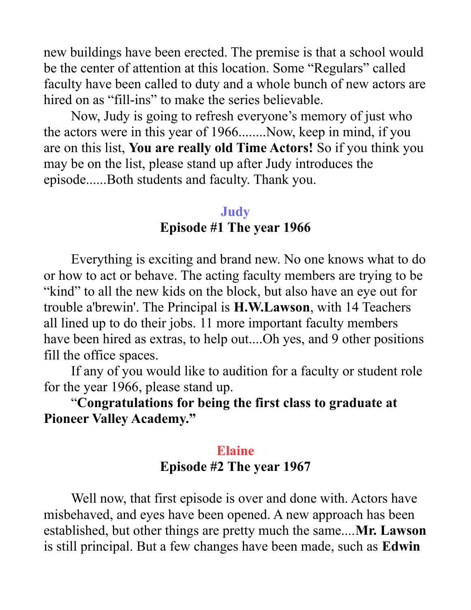new buildings have been erected. The premise is that a school would be the center of attention at this location. Some "Regulars" called faculty have been called to duty and a whole bunch of new actors are hired on as "fill-ins" to make the series believable.

Now, Judy is going to refresh everyone's memory of just who the actors were in this year of 1966........Now, keep in mind, if you are on this list, **You are really old Time Actors!** So if you think you may be on the list, please stand up after Judy introduces the episode......Both students and faculty. Thank you.

### **Judy Episode #1 The year 1966**

Everything is exciting and brand new. No one knows what to do or how to act or behave. The acting faculty members are trying to be "kind" to all the new kids on the block, but also have an eye out for trouble a'brewin'. The Principal is **H.W.Lawson**, with 14 Teachers all lined up to do their jobs. 11 more important faculty members have been hired as extras, to help out....Oh yes, and 9 other positions fill the office spaces.

If any of you would like to audition for a faculty or student role for the year 1966, please stand up.

"**Congratulations for being the first class to graduate at Pioneer Valley Academy."**

# **Elaine Episode #2 The year 1967**

Well now, that first episode is over and done with. Actors have misbehaved, and eyes have been opened. A new approach has been established, but other things are pretty much the same....**Mr. Lawson** is still principal. But a few changes have been made, such as **Edwin**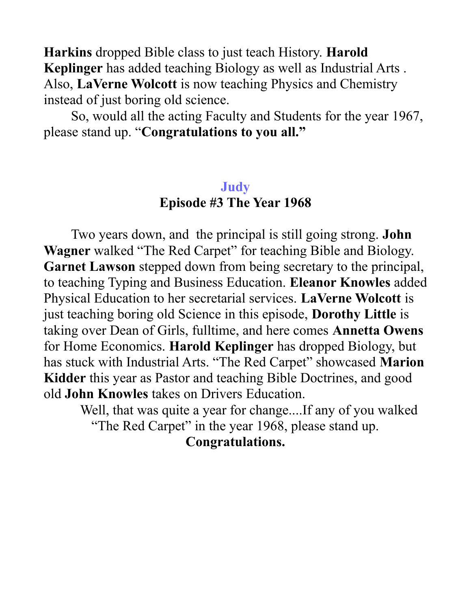**Harkins** dropped Bible class to just teach History. **Harold Keplinger** has added teaching Biology as well as Industrial Arts . Also, **LaVerne Wolcott** is now teaching Physics and Chemistry instead of just boring old science.

So, would all the acting Faculty and Students for the year 1967, please stand up. "**Congratulations to you all."**

## **Judy Episode #3 The Year 1968**

Two years down, and the principal is still going strong. **John Wagner** walked "The Red Carpet" for teaching Bible and Biology. **Garnet Lawson** stepped down from being secretary to the principal, to teaching Typing and Business Education. **Eleanor Knowles** added Physical Education to her secretarial services. **LaVerne Wolcott** is just teaching boring old Science in this episode, **Dorothy Little** is taking over Dean of Girls, fulltime, and here comes **Annetta Owens**  for Home Economics. **Harold Keplinger** has dropped Biology, but has stuck with Industrial Arts. "The Red Carpet" showcased **Marion Kidder** this year as Pastor and teaching Bible Doctrines, and good old **John Knowles** takes on Drivers Education.

Well, that was quite a year for change....If any of you walked "The Red Carpet" in the year 1968, please stand up.

**Congratulations.**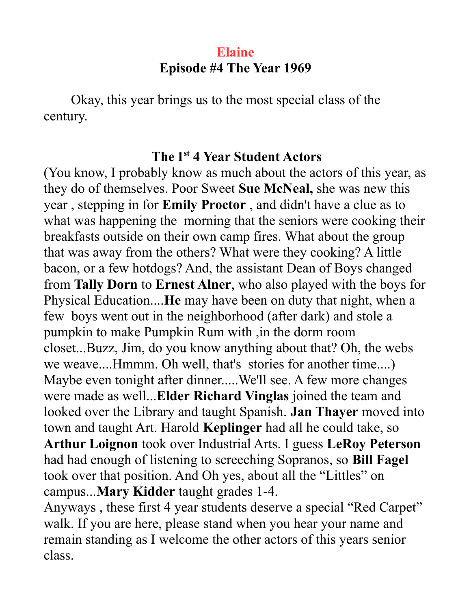## **Elaine Episode #4 The Year 1969**

Okay, this year brings us to the most special class of the century.

### **The 1 st 4 Year Student Actors**

(You know, I probably know as much about the actors of this year, as they do of themselves. Poor Sweet **Sue McNeal,** she was new this year , stepping in for **Emily Proctor** , and didn't have a clue as to what was happening the morning that the seniors were cooking their breakfasts outside on their own camp fires. What about the group that was away from the others? What were they cooking? A little bacon, or a few hotdogs? And, the assistant Dean of Boys changed from **Tally Dorn** to **Ernest Alner**, who also played with the boys for Physical Education....**He** may have been on duty that night, when a few boys went out in the neighborhood (after dark) and stole a pumpkin to make Pumpkin Rum with ,in the dorm room closet...Buzz, Jim, do you know anything about that? Oh, the webs we weave....Hmmm. Oh well, that's stories for another time....) Maybe even tonight after dinner.....We'll see. A few more changes were made as well...**Elder Richard Vinglas** joined the team and looked over the Library and taught Spanish. **Jan Thayer** moved into town and taught Art. Harold **Keplinger** had all he could take, so **Arthur Loignon** took over Industrial Arts. I guess **LeRoy Peterson**  had had enough of listening to screeching Sopranos, so **Bill Fagel** took over that position. And Oh yes, about all the "Littles" on campus...**Mary Kidder** taught grades 1-4.

Anyways , these first 4 year students deserve a special "Red Carpet" walk. If you are here, please stand when you hear your name and remain standing as I welcome the other actors of this years senior class.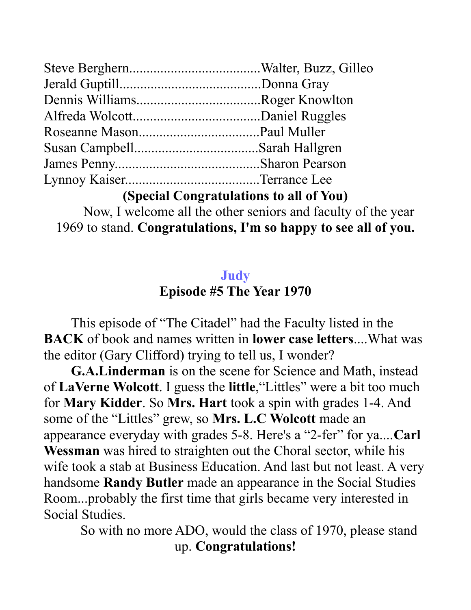**(Special Congratulations to all of You)**

Now, I welcome all the other seniors and faculty of the year 1969 to stand. **Congratulations, I'm so happy to see all of you.**

## **Judy Episode #5 The Year 1970**

This episode of "The Citadel" had the Faculty listed in the **BACK** of book and names written in **lower case letters**....What was the editor (Gary Clifford) trying to tell us, I wonder?

**G.A.Linderman** is on the scene for Science and Math, instead of **LaVerne Wolcott**. I guess the **little**,"Littles" were a bit too much for **Mary Kidder**. So **Mrs. Hart** took a spin with grades 1-4. And some of the "Littles" grew, so **Mrs. L.C Wolcott** made an appearance everyday with grades 5-8. Here's a "2-fer" for ya....**Carl Wessman** was hired to straighten out the Choral sector, while his wife took a stab at Business Education. And last but not least. A very handsome **Randy Butler** made an appearance in the Social Studies Room...probably the first time that girls became very interested in Social Studies.

So with no more ADO, would the class of 1970, please stand up. **Congratulations!**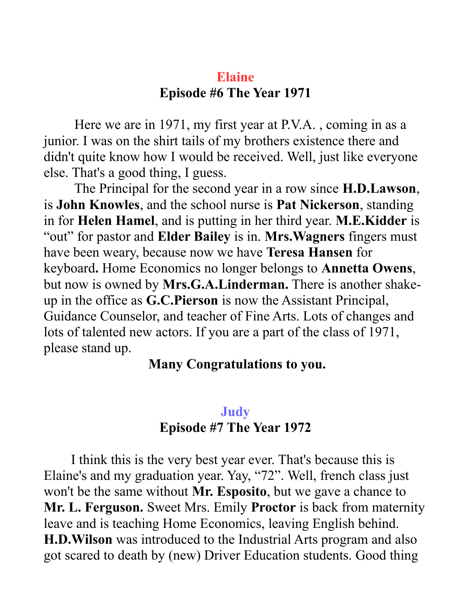## **Elaine Episode #6 The Year 1971**

 Here we are in 1971, my first year at P.V.A. , coming in as a junior. I was on the shirt tails of my brothers existence there and didn't quite know how I would be received. Well, just like everyone else. That's a good thing, I guess.

 The Principal for the second year in a row since **H.D.Lawson**, is **John Knowles**, and the school nurse is **Pat Nickerson**, standing in for **Helen Hamel**, and is putting in her third year. **M.E.Kidder** is "out" for pastor and **Elder Bailey** is in. **Mrs.Wagners** fingers must have been weary, because now we have **Teresa Hansen** for keyboard**.** Home Economics no longer belongs to **Annetta Owens**, but now is owned by **Mrs.G.A.Linderman.** There is another shakeup in the office as **G.C.Pierson** is now the Assistant Principal, Guidance Counselor, and teacher of Fine Arts. Lots of changes and lots of talented new actors. If you are a part of the class of 1971, please stand up.

#### **Many Congratulations to you.**

### **Judy Episode #7 The Year 1972**

I think this is the very best year ever. That's because this is Elaine's and my graduation year. Yay, "72". Well, french class just won't be the same without **Mr. Esposito**, but we gave a chance to **Mr. L. Ferguson.** Sweet Mrs. Emily **Proctor** is back from maternity leave and is teaching Home Economics, leaving English behind. **H.D.Wilson** was introduced to the Industrial Arts program and also got scared to death by (new) Driver Education students. Good thing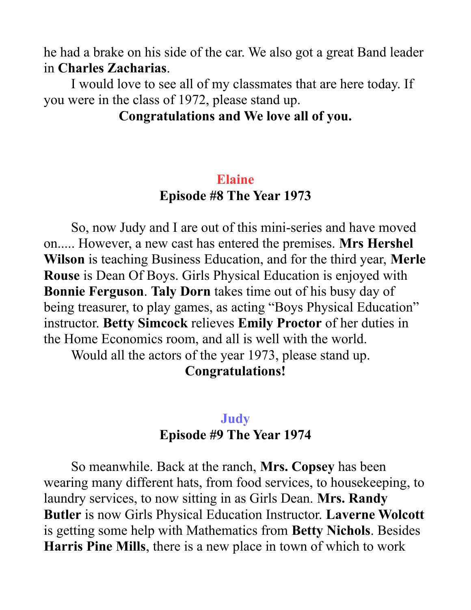he had a brake on his side of the car. We also got a great Band leader in **Charles Zacharias**.

I would love to see all of my classmates that are here today. If you were in the class of 1972, please stand up.

#### **Congratulations and We love all of you.**

### **Elaine Episode #8 The Year 1973**

So, now Judy and I are out of this mini-series and have moved on..... However, a new cast has entered the premises. **Mrs Hershel Wilson** is teaching Business Education, and for the third year, **Merle Rouse** is Dean Of Boys. Girls Physical Education is enjoyed with **Bonnie Ferguson**. **Taly Dorn** takes time out of his busy day of being treasurer, to play games, as acting "Boys Physical Education" instructor. **Betty Simcock** relieves **Emily Proctor** of her duties in the Home Economics room, and all is well with the world.

Would all the actors of the year 1973, please stand up.

#### **Congratulations!**

### **Judy Episode #9 The Year 1974**

So meanwhile. Back at the ranch, **Mrs. Copsey** has been wearing many different hats, from food services, to housekeeping, to laundry services, to now sitting in as Girls Dean. **Mrs. Randy Butler** is now Girls Physical Education Instructor. **Laverne Wolcott** is getting some help with Mathematics from **Betty Nichols**. Besides **Harris Pine Mills**, there is a new place in town of which to work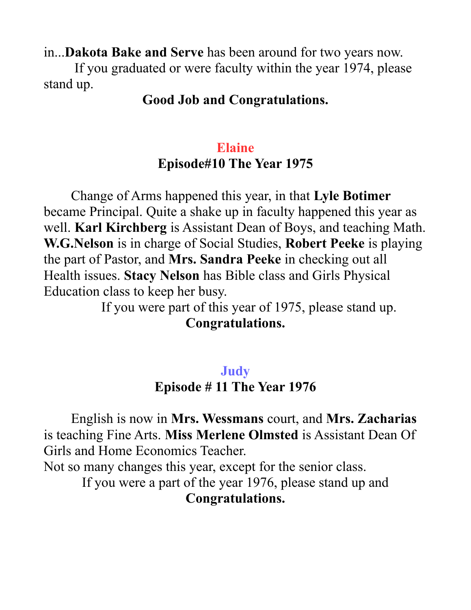in...**Dakota Bake and Serve** has been around for two years now.

 If you graduated or were faculty within the year 1974, please stand up.

### **Good Job and Congratulations.**

## **Elaine Episode#10 The Year 1975**

Change of Arms happened this year, in that **Lyle Botimer** became Principal. Quite a shake up in faculty happened this year as well. **Karl Kirchberg** is Assistant Dean of Boys, and teaching Math. **W.G.Nelson** is in charge of Social Studies, **Robert Peeke** is playing the part of Pastor, and **Mrs. Sandra Peeke** in checking out all Health issues. **Stacy Nelson** has Bible class and Girls Physical Education class to keep her busy.

If you were part of this year of 1975, please stand up. **Congratulations.**

### **Judy**

#### **Episode # 11 The Year 1976**

English is now in **Mrs. Wessmans** court, and **Mrs. Zacharias**  is teaching Fine Arts. **Miss Merlene Olmsted** is Assistant Dean Of Girls and Home Economics Teacher.

Not so many changes this year, except for the senior class.

If you were a part of the year 1976, please stand up and **Congratulations.**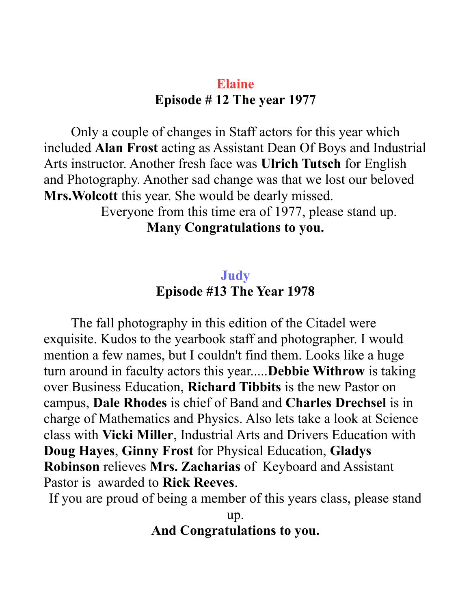## **Elaine Episode # 12 The year 1977**

Only a couple of changes in Staff actors for this year which included **Alan Frost** acting as Assistant Dean Of Boys and Industrial Arts instructor. Another fresh face was **Ulrich Tutsch** for English and Photography. Another sad change was that we lost our beloved **Mrs.Wolcott** this year. She would be dearly missed.

Everyone from this time era of 1977, please stand up.

## **Many Congratulations to you.**

### **Judy Episode #13 The Year 1978**

The fall photography in this edition of the Citadel were exquisite. Kudos to the yearbook staff and photographer. I would mention a few names, but I couldn't find them. Looks like a huge turn around in faculty actors this year.....**Debbie Withrow** is taking over Business Education, **Richard Tibbits** is the new Pastor on campus, **Dale Rhodes** is chief of Band and **Charles Drechsel** is in charge of Mathematics and Physics. Also lets take a look at Science class with **Vicki Miller**, Industrial Arts and Drivers Education with **Doug Hayes**, **Ginny Frost** for Physical Education, **Gladys Robinson** relieves **Mrs. Zacharias** of Keyboard and Assistant Pastor is awarded to **Rick Reeves**.

If you are proud of being a member of this years class, please stand

up. **And Congratulations to you.**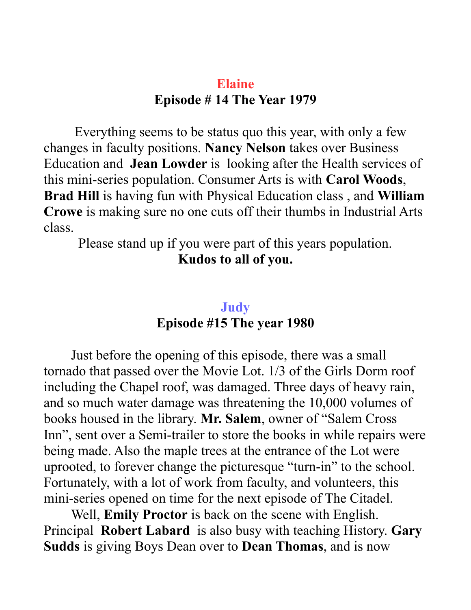## **Elaine Episode # 14 The Year 1979**

 Everything seems to be status quo this year, with only a few changes in faculty positions. **Nancy Nelson** takes over Business Education and **Jean Lowder** is looking after the Health services of this mini-series population. Consumer Arts is with **Carol Woods**, **Brad Hill** is having fun with Physical Education class , and **William Crowe** is making sure no one cuts off their thumbs in Industrial Arts class.

Please stand up if you were part of this years population. **Kudos to all of you.**

### **Judy Episode #15 The year 1980**

Just before the opening of this episode, there was a small tornado that passed over the Movie Lot. 1/3 of the Girls Dorm roof including the Chapel roof, was damaged. Three days of heavy rain, and so much water damage was threatening the 10,000 volumes of books housed in the library. **Mr. Salem**, owner of "Salem Cross Inn", sent over a Semi-trailer to store the books in while repairs were being made. Also the maple trees at the entrance of the Lot were uprooted, to forever change the picturesque "turn-in" to the school. Fortunately, with a lot of work from faculty, and volunteers, this mini-series opened on time for the next episode of The Citadel.

Well, **Emily Proctor** is back on the scene with English. Principal **Robert Labard** is also busy with teaching History. **Gary Sudds** is giving Boys Dean over to **Dean Thomas**, and is now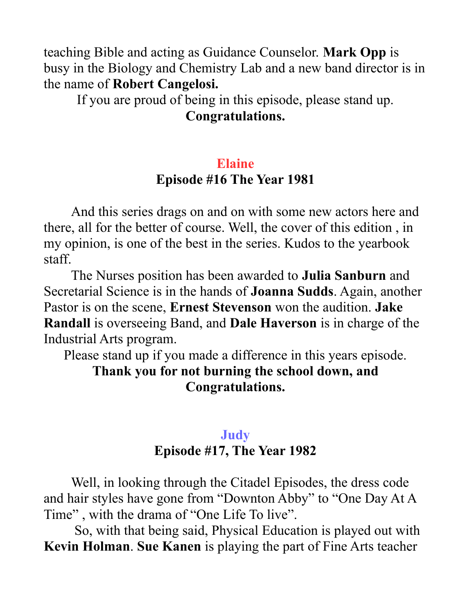teaching Bible and acting as Guidance Counselor. **Mark Opp** is busy in the Biology and Chemistry Lab and a new band director is in the name of **Robert Cangelosi.** 

If you are proud of being in this episode, please stand up. **Congratulations.**

# **Elaine Episode #16 The Year 1981**

And this series drags on and on with some new actors here and there, all for the better of course. Well, the cover of this edition , in my opinion, is one of the best in the series. Kudos to the yearbook staff.

The Nurses position has been awarded to **Julia Sanburn** and Secretarial Science is in the hands of **Joanna Sudds**. Again, another Pastor is on the scene, **Ernest Stevenson** won the audition. **Jake Randall** is overseeing Band, and **Dale Haverson** is in charge of the Industrial Arts program.

Please stand up if you made a difference in this years episode.

**Thank you for not burning the school down, and Congratulations.**

### **Judy Episode #17, The Year 1982**

Well, in looking through the Citadel Episodes, the dress code and hair styles have gone from "Downton Abby" to "One Day At A Time" , with the drama of "One Life To live".

 So, with that being said, Physical Education is played out with **Kevin Holman**. **Sue Kanen** is playing the part of Fine Arts teacher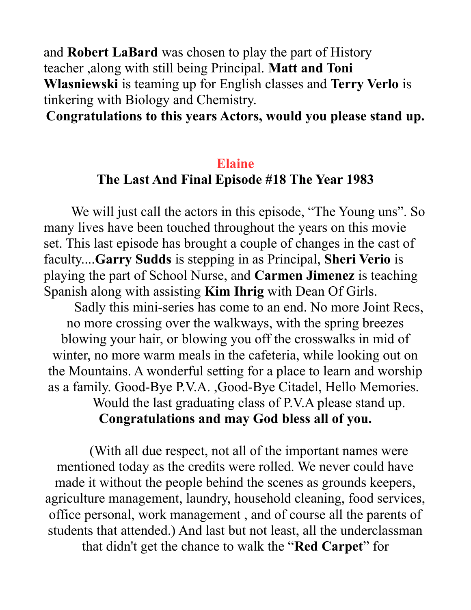and **Robert LaBard** was chosen to play the part of History teacher ,along with still being Principal. **Matt and Toni Wlasniewski** is teaming up for English classes and **Terry Verlo** is tinkering with Biology and Chemistry.

#### **Congratulations to this years Actors, would you please stand up.**

## **Elaine The Last And Final Episode #18 The Year 1983**

We will just call the actors in this episode, "The Young uns". So many lives have been touched throughout the years on this movie set. This last episode has brought a couple of changes in the cast of faculty....**Garry Sudds** is stepping in as Principal, **Sheri Verio** is playing the part of School Nurse, and **Carmen Jimenez** is teaching Spanish along with assisting **Kim Ihrig** with Dean Of Girls.

Sadly this mini-series has come to an end. No more Joint Recs, no more crossing over the walkways, with the spring breezes blowing your hair, or blowing you off the crosswalks in mid of winter, no more warm meals in the cafeteria, while looking out on the Mountains. A wonderful setting for a place to learn and worship as a family. Good-Bye P.V.A. ,Good-Bye Citadel, Hello Memories. Would the last graduating class of P.V.A please stand up.

### **Congratulations and may God bless all of you.**

(With all due respect, not all of the important names were mentioned today as the credits were rolled. We never could have made it without the people behind the scenes as grounds keepers, agriculture management, laundry, household cleaning, food services, office personal, work management , and of course all the parents of students that attended.) And last but not least, all the underclassman that didn't get the chance to walk the "**Red Carpet**" for